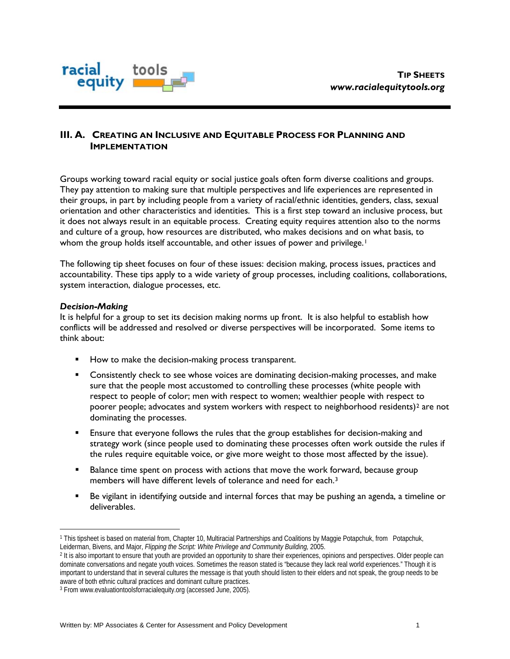

# **III. A. CREATING AN INCLUSIVE AND EQUITABLE PROCESS FOR PLANNING AND IMPLEMENTATION**

Groups working toward racial equity or social justice goals often form diverse coalitions and groups. They pay attention to making sure that multiple perspectives and life experiences are represented in their groups, in part by including people from a variety of racial/ethnic identities, genders, class, sexual orientation and other characteristics and identities. This is a first step toward an inclusive process, but it does not always result in an equitable process. Creating equity requires attention also to the norms and culture of a group, how resources are distributed, who makes decisions and on what basis, to whom the group holds itself accountable, and other issues of power and privilege.<sup>[1](#page-0-0)</sup>

The following tip sheet focuses on four of these issues: decision making, process issues, practices and accountability. These tips apply to a wide variety of group processes, including coalitions, collaborations, system interaction, dialogue processes, etc.

### *Decision-Making*

 $\overline{a}$ 

It is helpful for a group to set its decision making norms up front. It is also helpful to establish how conflicts will be addressed and resolved or diverse perspectives will be incorporated. Some items to think about:

- How to make the decision-making process transparent.
- **Consistently check to see whose voices are dominating decision-making processes, and make** sure that the people most accustomed to controlling these processes (white people with respect to people of color; men with respect to women; wealthier people with respect to poorer people; advocates and system workers with respect to neighborhood residents)<sup>[2](#page-0-1)</sup> are not dominating the processes.
- **Ensure that everyone follows the rules that the group establishes for decision-making and** strategy work (since people used to dominating these processes often work outside the rules if the rules require equitable voice, or give more weight to those most affected by the issue).
- Balance time spent on process with actions that move the work forward, because group members will have different levels of tolerance and need for each.[3](#page-0-2)
- Be vigilant in identifying outside and internal forces that may be pushing an agenda, a timeline or deliverables.

<span id="page-0-0"></span><sup>1</sup> This tipsheet is based on material from, Chapter 10, Multiracial Partnerships and Coalitions by Maggie Potapchuk, from Potapchuk, Leiderman, Bivens, and Major, *Flipping the Script: White Privilege and Community Building,* 2005.

<span id="page-0-1"></span><sup>&</sup>lt;sup>2</sup> It is also important to ensure that youth are provided an opportunity to share their experiences, opinions and perspectives. Older people can dominate conversations and negate youth voices. Sometimes the reason stated is "because they lack real world experiences." Though it is important to understand that in several cultures the message is that youth should listen to their elders and not speak, the group needs to be aware of both ethnic cultural practices and dominant culture practices.

<span id="page-0-2"></span><sup>3</sup> From www.evaluationtoolsforracialequity.org (accessed June, 2005).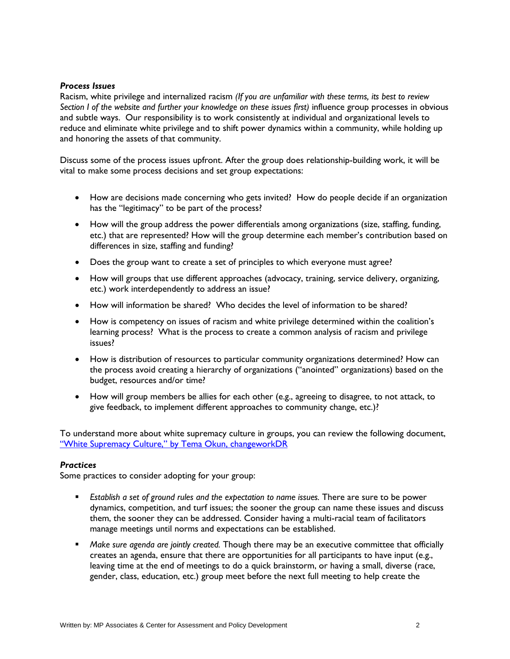#### *Process Issues*

Racism, white privilege and internalized racism *(If you are unfamiliar with these terms, its best to review Section I of the website and further your knowledge on these issues first)* influence group processes in obvious and subtle ways. Our responsibility is to work consistently at individual and organizational levels to reduce and eliminate white privilege and to shift power dynamics within a community, while holding up and honoring the assets of that community.

Discuss some of the process issues upfront. After the group does relationship-building work, it will be vital to make some process decisions and set group expectations:

- How are decisions made concerning who gets invited? How do people decide if an organization has the "legitimacy" to be part of the process?
- How will the group address the power differentials among organizations (size, staffing, funding, etc.) that are represented? How will the group determine each member's contribution based on differences in size, staffing and funding?
- Does the group want to create a set of principles to which everyone must agree?
- How will groups that use different approaches (advocacy, training, service delivery, organizing, etc.) work interdependently to address an issue?
- How will information be shared? Who decides the level of information to be shared?
- How is competency on issues of racism and white privilege determined within the coalition's learning process? What is the process to create a common analysis of racism and privilege issues?
- How is distribution of resources to particular community organizations determined? How can the process avoid creating a hierarchy of organizations ("anointed" organizations) based on the budget, resources and/or time?
- How will group members be allies for each other (e.g., agreeing to disagree, to not attack, to give feedback, to implement different approaches to community change, etc.)?

To understand more about white supremacy culture in groups, you can review the following document, ["White Supremacy Culture," by Tema Okun, changeworkDR](http://www.prisonactivist.org/archive/cws/dr-culture.html)

### *Practices*

Some practices to consider adopting for your group:

- *Establish a set of ground rules and the expectation to name issues.* There are sure to be power dynamics, competition, and turf issues; the sooner the group can name these issues and discuss them, the sooner they can be addressed. Consider having a multi-racial team of facilitators manage meetings until norms and expectations can be established.
- *Make sure agenda are jointly created.* Though there may be an executive committee that officially creates an agenda, ensure that there are opportunities for all participants to have input (e.g., leaving time at the end of meetings to do a quick brainstorm, or having a small, diverse (race, gender, class, education, etc.) group meet before the next full meeting to help create the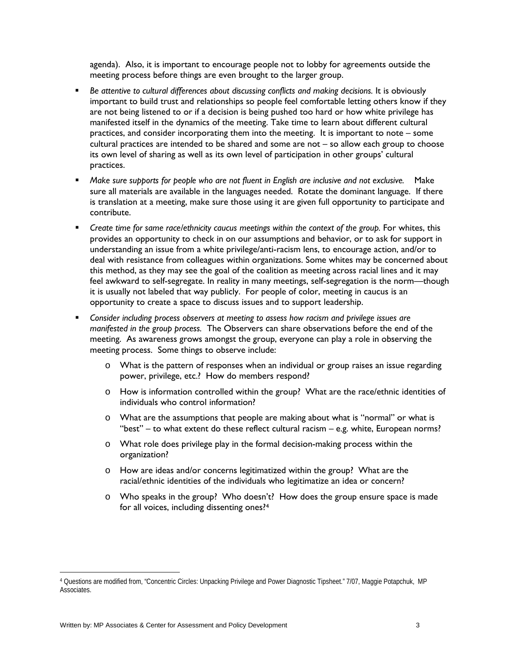agenda). Also, it is important to encourage people not to lobby for agreements outside the meeting process before things are even brought to the larger group.

- *Be attentive to cultural differences about discussing conflicts and making decisions.* It is obviously important to build trust and relationships so people feel comfortable letting others know if they are not being listened to or if a decision is being pushed too hard or how white privilege has manifested itself in the dynamics of the meeting. Take time to learn about different cultural practices, and consider incorporating them into the meeting. It is important to note – some cultural practices are intended to be shared and some are not – so allow each group to choose its own level of sharing as well as its own level of participation in other groups' cultural practices.
- *Make sure supports for people who are not fluent in English are inclusive and not exclusive.* Make sure all materials are available in the languages needed. Rotate the dominant language. If there is translation at a meeting, make sure those using it are given full opportunity to participate and contribute.
- *Create time for same race/ethnicity caucus meetings within the context of the group.* For whites, this provides an opportunity to check in on our assumptions and behavior, or to ask for support in understanding an issue from a white privilege/anti-racism lens, to encourage action, and/or to deal with resistance from colleagues within organizations. Some whites may be concerned about this method, as they may see the goal of the coalition as meeting across racial lines and it may feel awkward to self-segregate. In reality in many meetings, self-segregation is the norm—though it is usually not labeled that way publicly. For people of color, meeting in caucus is an opportunity to create a space to discuss issues and to support leadership.
- *Consider including process observers at meeting to assess how racism and privilege issues are manifested in the group process.* The Observers can share observations before the end of the meeting. As awareness grows amongst the group, everyone can play a role in observing the meeting process. Some things to observe include:
	- $\circ$  What is the pattern of responses when an individual or group raises an issue regarding power, privilege, etc.? How do members respond?
	- o How is information controlled within the group? What are the race/ethnic identities of individuals who control information?
	- o What are the assumptions that people are making about what is "normal" or what is "best" – to what extent do these reflect cultural racism – e.g. white, European norms?
	- o What role does privilege play in the formal decision-making process within the organization?
	- o How are ideas and/or concerns legitimatized within the group? What are the racial/ethnic identities of the individuals who legitimatize an idea or concern?
	- o Who speaks in the group? Who doesn't? How does the group ensure space is made for all voices, including dissenting ones?[4](#page-2-0)

 $\overline{a}$ 

<span id="page-2-0"></span><sup>4</sup> Questions are modified from, "Concentric Circles: Unpacking Privilege and Power Diagnostic Tipsheet." 7/07, Maggie Potapchuk, MP Associates.